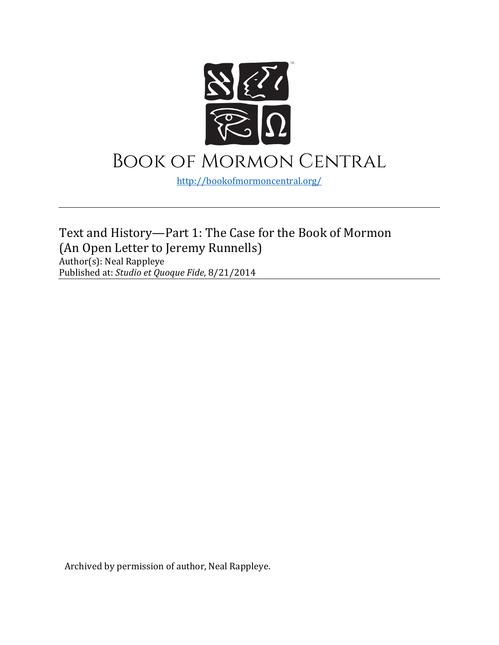

<http://bookofmormoncentral.org/>

Text and History—Part 1: The Case for the Book of Mormon (An Open Letter to Jeremy Runnells) Author(s): Neal Rappleye Published at: *Studio et Quoque Fide*, 8/21/2014

Archived by permission of author, Neal Rappleye.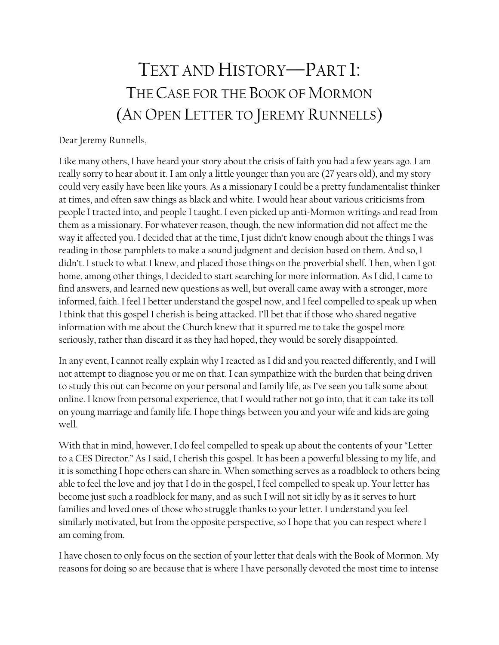# TEXT AND HISTORY—PART 1: THE CASE FOR THE BOOK OF MORMON (AN OPEN LETTER TO JEREMY RUNNELLS)

#### Dear Jeremy Runnells,

Like many others, I have heard your story about the crisis of faith you had a few years ago. I am really sorry to hear about it. I am only a little younger than you are (27 years old), and my story could very easily have been like yours. As a missionary I could be a pretty fundamentalist thinker at times, and often saw things as black and white. I would hear about various criticisms from people I tracted into, and people I taught. I even picked up anti-Mormon writings and read from them as a missionary. For whatever reason, though, the new information did not affect me the way it affected you. I decided that at the time, I just didn't know enough about the things I was reading in those pamphlets to make a sound judgment and decision based on them. And so, I didn't. I stuck to what I knew, and placed those things on the proverbial shelf. Then, when I got home, among other things, I decided to start searching for more information. As I did, I came to find answers, and learned new questions as well, but overall came away with a stronger, more informed, faith. I feel I better understand the gospel now, and I feel compelled to speak up when I think that this gospel I cherish is being attacked. I'll bet that if those who shared negative information with me about the Church knew that it spurred me to take the gospel more seriously, rather than discard it as they had hoped, they would be sorely disappointed.

In any event, I cannot really explain why I reacted as I did and you reacted differently, and I will not attempt to diagnose you or me on that. I can sympathize with the burden that being driven to study this out can become on your personal and family life, as I've seen you talk some about online. I know from personal experience, that I would rather not go into, that it can take its toll on young marriage and family life. I hope things between you and your wife and kids are going well.

With that in mind, however, I do feel compelled to speak up about the contents of your "Letter to a CES Director." As I said, I cherish this gospel. It has been a powerful blessing to my life, and it is something I hope others can share in. When something serves as a roadblock to others being able to feel the love and joy that I do in the gospel, I feel compelled to speak up. Your letter has become just such a roadblock for many, and as such I will not sit idly by as it serves to hurt families and loved ones of those who struggle thanks to your letter. I understand you feel similarly motivated, but from the opposite perspective, so I hope that you can respect where I am coming from.

I have chosen to only focus on the section of your letter that deals with the Book of Mormon. My reasons for doing so are because that is where I have personally devoted the most time to intense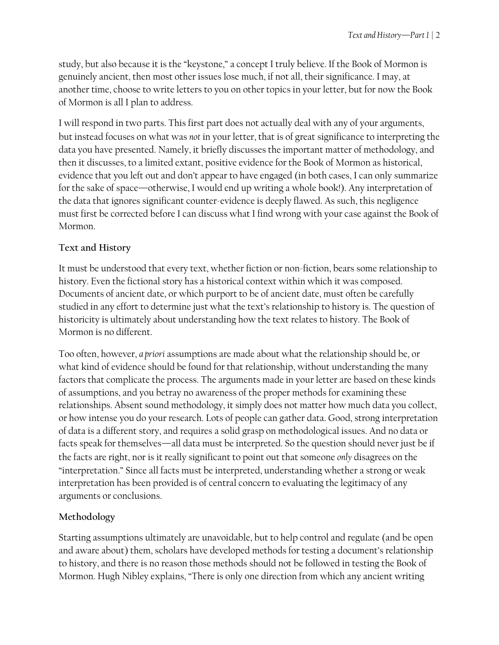study, but also because it is the "keystone," a concept I truly believe. If the Book of Mormon is genuinely ancient, then most other issues lose much, if not all, their significance. I may, at another time, choose to write letters to you on other topics in your letter, but for now the Book of Mormon is all I plan to address.

I will respond in two parts. This first part does not actually deal with any of your arguments, but instead focuses on what was *not* in your letter, that is of great significance to interpreting the data you have presented. Namely, it briefly discusses the important matter of methodology, and then it discusses, to a limited extant, positive evidence for the Book of Mormon as historical, evidence that you left out and don't appear to have engaged (in both cases, I can only summarize for the sake of space—otherwise, I would end up writing a whole book!). Any interpretation of the data that ignores significant counter-evidence is deeply flawed. As such, this negligence must first be corrected before I can discuss what I find wrong with your case against the Book of Mormon.

## **Text and History**

It must be understood that every text, whether fiction or non-fiction, bears some relationship to history. Even the fictional story has a historical context within which it was composed. Documents of ancient date, or which purport to be of ancient date, must often be carefully studied in any effort to determine just what the text's relationship to history is. The question of historicity is ultimately about understanding how the text relates to history. The Book of Mormon is no different.

Too often, however, *a priori* assumptions are made about what the relationship should be, or what kind of evidence should be found for that relationship, without understanding the many factors that complicate the process. The arguments made in your letter are based on these kinds of assumptions, and you betray no awareness of the proper methods for examining these relationships. Absent sound methodology, it simply does not matter how much data you collect, or how intense you do your research. Lots of people can gather data. Good, strong interpretation of data is a different story, and requires a solid grasp on methodological issues. And no data or facts speak for themselves—all data must be interpreted. So the question should never just be if the facts are right, nor is it really significant to point out that someone *only* disagrees on the "interpretation." Since all facts must be interpreted, understanding whether a strong or weak interpretation has been provided is of central concern to evaluating the legitimacy of any arguments or conclusions.

## **Methodology**

Starting assumptions ultimately are unavoidable, but to help control and regulate (and be open and aware about) them, scholars have developed methods for testing a document's relationship to history, and there is no reason those methods should not be followed in testing the Book of Mormon. Hugh Nibley explains, "There is only one direction from which any ancient writing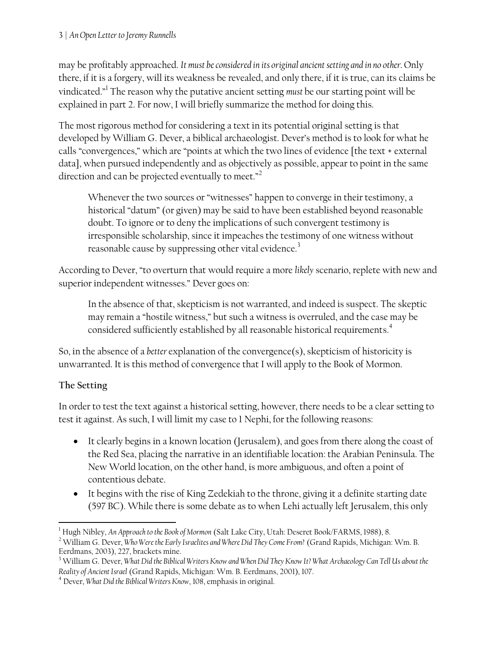may be profitably approached. *It must be considered in its original ancient setting and in no other.* Only there, if it is a forgery, will its weakness be revealed, and only there, if it is true, can its claims be vindicated."<sup>1</sup> The reason why the putative ancient setting *must* be our starting point will be explained in part 2. For now, I will briefly summarize the method for doing this.

The most rigorous method for considering a text in its potential original setting is that developed by William G. Dever, a biblical archaeologist. Dever's method is to look for what he calls "convergences," which are "points at which the two lines of evidence [the text + external data], when pursued independently and as objectively as possible, appear to point in the same direction and can be projected eventually to meet."<sup>2</sup>

Whenever the two sources or "witnesses" happen to converge in their testimony, a historical "datum" (or given) may be said to have been established beyond reasonable doubt. To ignore or to deny the implications of such convergent testimony is irresponsible scholarship, since it impeaches the testimony of one witness without reasonable cause by suppressing other vital evidence.<sup>3</sup>

According to Dever, "to overturn that would require a more *likely* scenario, replete with new and superior independent witnesses." Dever goes on:

In the absence of that, skepticism is not warranted, and indeed is suspect. The skeptic may remain a "hostile witness," but such a witness is overruled, and the case may be considered sufficiently established by all reasonable historical requirements. $^{\textrm{\texttt{4}}}$ 

So, in the absence of a *better* explanation of the convergence(s), skepticism of historicity is unwarranted. It is this method of convergence that I will apply to the Book of Mormon.

## **The Setting**

In order to test the text against a historical setting, however, there needs to be a clear setting to test it against. As such, I will limit my case to 1 Nephi, for the following reasons:

- It clearly begins in a known location (Jerusalem), and goes from there along the coast of the Red Sea, placing the narrative in an identifiable location: the Arabian Peninsula. The New World location, on the other hand, is more ambiguous, and often a point of contentious debate.
- It begins with the rise of King Zedekiah to the throne, giving it a definite starting date (597 BC). While there is some debate as to when Lehi actually left Jerusalem, this only

l <sup>1</sup> Hugh Nibley, *An Approach to the Book of Mormon* (Salt Lake City, Utah: Deseret Book/FARMS, 1988), 8.

<sup>2</sup> William G. Dever, *Who Were the Early Israelites and Where Did They Come From?* (Grand Rapids, Michigan: Wm. B. Eerdmans, 2003), 227, brackets mine.

<sup>3</sup> William G. Dever, *What Did the Biblical Writers Know and When Did They Know It? What Archaeology Can Tell Us about the Reality of Ancient Israel* (Grand Rapids, Michigan: Wm. B. Eerdmans, 2001), 107.

<sup>4</sup> Dever, *What Did the Biblical Writers Know*, 108, emphasis in original.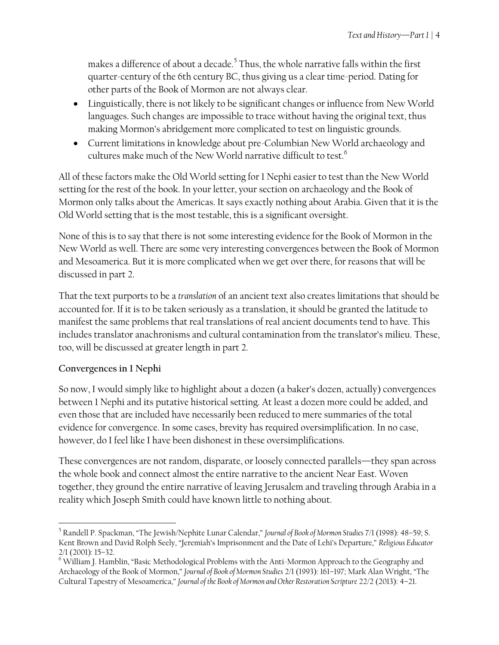makes a difference of about a decade.<sup>5</sup> Thus, the whole narrative falls within the first quarter-century of the 6th century BC, thus giving us a clear time-period. Dating for other parts of the Book of Mormon are not always clear.

- Linguistically, there is not likely to be significant changes or influence from New World languages. Such changes are impossible to trace without having the original text, thus making Mormon's abridgement more complicated to test on linguistic grounds.
- Current limitations in knowledge about pre-Columbian New World archaeology and cultures make much of the New World narrative difficult to test. 6

All of these factors make the Old World setting for 1 Nephi easier to test than the New World setting for the rest of the book. In your letter, your section on archaeology and the Book of Mormon only talks about the Americas. It says exactly nothing about Arabia. Given that it is the Old World setting that is the most testable, this is a significant oversight.

None of this is to say that there is not some interesting evidence for the Book of Mormon in the New World as well. There are some very interesting convergences between the Book of Mormon and Mesoamerica. But it is more complicated when we get over there, for reasons that will be discussed in part 2.

That the text purports to be a *translation* of an ancient text also creates limitations that should be accounted for. If it is to be taken seriously as a translation, it should be granted the latitude to manifest the same problems that real translations of real ancient documents tend to have. This includes translator anachronisms and cultural contamination from the translator's milieu. These, too, will be discussed at greater length in part 2.

### **Convergences in 1 Nephi**

 $\overline{\phantom{a}}$ 

So now, I would simply like to highlight about a dozen (a baker's dozen, actually) convergences between 1 Nephi and its putative historical setting. At least a dozen more could be added, and even those that are included have necessarily been reduced to mere summaries of the total evidence for convergence. In some cases, brevity has required oversimplification. In no case, however, do I feel like I have been dishonest in these oversimplifications.

These convergences are not random, disparate, or loosely connected parallels—they span across the whole book and connect almost the entire narrative to the ancient Near East. Woven together, they ground the entire narrative of leaving Jerusalem and traveling through Arabia in a reality which Joseph Smith could have known little to nothing about.

<sup>5</sup> Randell P. Spackman, "The Jewish/Nephite Lunar Calendar," *Journal of Book of Mormon Studies* 7/1 (1998): 48–59; S. Kent Brown and David Rolph Seely, "Jeremiah's Imprisonment and the Date of Lehi's Departure," *Religious Educator* 2/1 (2001): 15–32.

<sup>&</sup>lt;sup>6</sup> William J. Hamblin, "Basic Methodological Problems with the Anti-Mormon Approach to the Geography and Archaeology of the Book of Mormon," *Journal of Book of Mormon Studies* 2/1 (1993): 161–197; Mark Alan Wright, "The Cultural Tapestry of Mesoamerica," *Journal of the Book of Mormon and Other Restoration Scripture* 22/2 (2013): 4–21.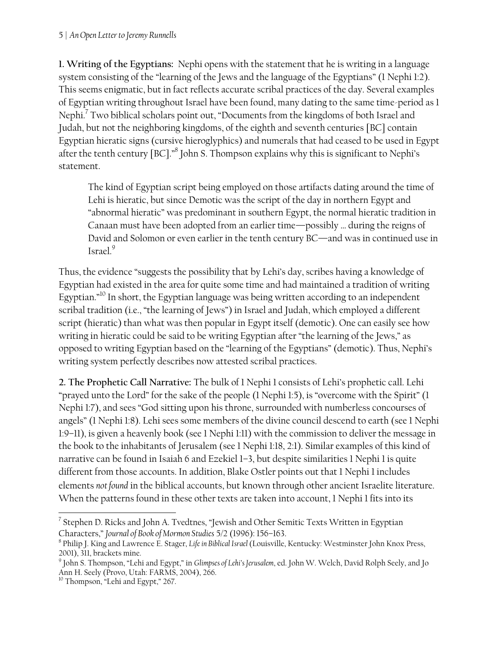**1. Writing of the Egyptians:** Nephi opens with the statement that he is writing in a language system consisting of the "learning of the Jews and the language of the Egyptians" (1 Nephi 1:2). This seems enigmatic, but in fact reflects accurate scribal practices of the day. Several examples of Egyptian writing throughout Israel have been found, many dating to the same time-period as 1 Nephi. $\mathrm{7}$  Two biblical scholars point out, "Documents from the kingdoms of both Israel and Judah, but not the neighboring kingdoms, of the eighth and seventh centuries [BC] contain Egyptian hieratic signs (cursive hieroglyphics) and numerals that had ceased to be used in Egypt after the tenth century [BC]." $\mathrm{^8}$  John S. Thompson explains why this is significant to Nephi's statement.

The kind of Egyptian script being employed on those artifacts dating around the time of Lehi is hieratic, but since Demotic was the script of the day in northern Egypt and "abnormal hieratic" was predominant in southern Egypt, the normal hieratic tradition in Canaan must have been adopted from an earlier time—possibly … during the reigns of David and Solomon or even earlier in the tenth century BC—and was in continued use in Israel.<sup>9</sup>

Thus, the evidence "suggests the possibility that by Lehi's day, scribes having a knowledge of Egyptian had existed in the area for quite some time and had maintained a tradition of writing Egyptian."<sup>10</sup> In short, the Egyptian language was being written according to an independent scribal tradition (i.e., "the learning of Jews") in Israel and Judah, which employed a different script (hieratic) than what was then popular in Egypt itself (demotic). One can easily see how writing in hieratic could be said to be writing Egyptian after "the learning of the Jews," as opposed to writing Egyptian based on the "learning of the Egyptians" (demotic). Thus, Nephi's writing system perfectly describes now attested scribal practices.

**2. The Prophetic Call Narrative:** The bulk of 1 Nephi 1 consists of Lehi's prophetic call. Lehi "prayed unto the Lord" for the sake of the people (1 Nephi 1:5), is "overcome with the Spirit" (1 Nephi 1:7), and sees "God sitting upon his throne, surrounded with numberless concourses of angels" (1 Nephi 1:8). Lehi sees some members of the divine council descend to earth (see 1 Nephi 1:9–11), is given a heavenly book (see 1 Nephi 1:11) with the commission to deliver the message in the book to the inhabitants of Jerusalem (see 1 Nephi 1:18, 2:1). Similar examples of this kind of narrative can be found in Isaiah 6 and Ezekiel 1–3, but despite similarities 1 Nephi 1 is quite different from those accounts. In addition, Blake Ostler points out that 1 Nephi 1 includes elements *not found* in the biblical accounts, but known through other ancient Israelite literature. When the patterns found in these other texts are taken into account, 1 Nephi 1 fits into its

 7 Stephen D. Ricks and John A. Tvedtnes, "Jewish and Other Semitic Texts Written in Egyptian Characters," *Journal of Book of Mormon Studies* 5/2 (1996): 156–163.

<sup>8</sup> Philip J. King and Lawrence E. Stager, *Life in Biblical Israel*(Louisville, Kentucky: Westminster John Knox Press, 2001), 311, brackets mine.

<sup>9</sup> John S. Thompson, "Lehi and Egypt," in *Glimpses of Lehi's Jerusalem*, ed. John W. Welch, David Rolph Seely, and Jo Ann H. Seely (Provo, Utah: FARMS, 2004), 266.

<sup>&</sup>lt;sup>10</sup> Thompson, "Lehi and Egypt," 267.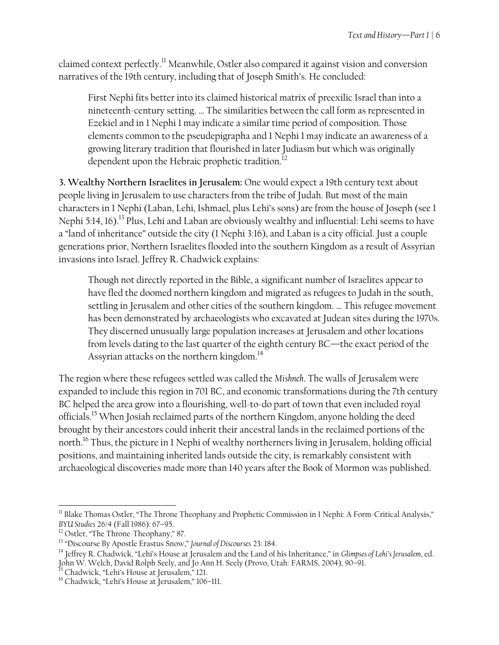claimed context perfectly.<sup>11</sup> Meanwhile, Ostler also compared it against vision and conversion narratives of the 19th century, including that of Joseph Smith's. He concluded:

First Nephi fits better into its claimed historical matrix of preexilic Israel than into a nineteenth-century setting. … The similarities between the call form as represented in Ezekiel and in 1 Nephi 1 may indicate a similar time period of composition. Those elements common to the pseudepigrapha and 1 Nephi 1 may indicate an awareness of a growing literary tradition that flourished in later Judiasm but which was originally dependent upon the Hebraic prophetic tradition.<sup>12</sup>

**3. Wealthy Northern Israelites in Jerusalem:** One would expect a 19th century text about people living in Jerusalem to use characters from the tribe of Judah. But most of the main characters in 1 Nephi (Laban, Lehi, Ishmael, plus Lehi's sons) are from the house of Joseph (see 1 Nephi 5:14, 16).<sup>13</sup> Plus, Lehi and Laban are obviously wealthy and influential: Lehi seems to have a "land of inheritance" outside the city (1 Nephi 3:16), and Laban is a city official. Just a couple generations prior, Northern Israelites flooded into the southern Kingdom as a result of Assyrian invasions into Israel. Jeffrey R. Chadwick explains:

Though not directly reported in the Bible, a significant number of Israelites appear to have fled the doomed northern kingdom and migrated as refugees to Judah in the south, settling in Jerusalem and other cities of the southern kingdom. … This refugee movement has been demonstrated by archaeologists who excavated at Judean sites during the 1970s. They discerned unusually large population increases at Jerusalem and other locations from levels dating to the last quarter of the eighth century BC—the exact period of the Assyrian attacks on the northern kingdom. $^{14}$ 

The region where these refugees settled was called the *Mishneh*. The walls of Jerusalem were expanded to include this region in 701 BC, and economic transformations during the 7th century BC helped the area grow into a flourishing, well-to-do part of town that even included royal officials.<sup>15</sup> When Josiah reclaimed parts of the northern Kingdom, anyone holding the deed brought by their ancestors could inherit their ancestral lands in the reclaimed portions of the north.<sup>16</sup> Thus, the picture in 1 Nephi of wealthy northerners living in Jerusalem, holding official positions, and maintaining inherited lands outside the city, is remarkably consistent with archaeological discoveries made more than 140 years after the Book of Mormon was published.

 $\overline{a}$ <sup>11</sup> Blake Thomas Ostler, "The Throne Theophany and Prophetic Commission in 1 Nephi: A Form-Critical Analysis," *BYU Studies* 26/4 (Fall 1986): 67–95.

<sup>&</sup>lt;sup>12</sup> Ostler, "The Throne-Theophany," 87.

<sup>13</sup> "Discourse By Apostle Erastus Snow," *Journal of Discourses* 23: 184.

<sup>14</sup> Jeffrey R. Chadwick, "Lehi's House at Jerusalem and the Land of his Inheritance," in *Glimpses of Lehi's Jerusalem*, ed. John W. Welch, David Rolph Seely, and Jo Ann H. Seely (Provo, Utah: FARMS, 2004), 90-91.

<sup>15</sup> Chadwick, "Lehi's House at Jerusalem," 121.

<sup>&</sup>lt;sup>16</sup> Chadwick, "Lehi's House at Jerusalem," 106-111.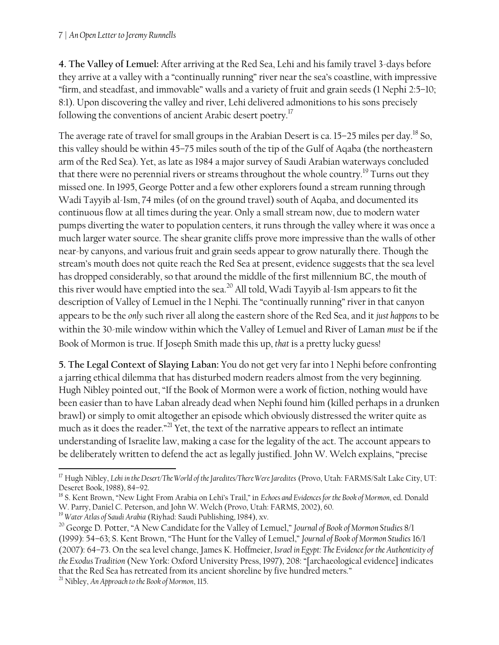**4. The Valley of Lemuel:** After arriving at the Red Sea, Lehi and his family travel 3-days before they arrive at a valley with a "continually running" river near the sea's coastline, with impressive "firm, and steadfast, and immovable" walls and a variety of fruit and grain seeds (1 Nephi 2:5–10; 8:1). Upon discovering the valley and river, Lehi delivered admonitions to his sons precisely following the conventions of ancient Arabic desert poetry.<sup>17</sup>

The average rate of travel for small groups in the Arabian Desert is ca.  $15-25$  miles per day.<sup>18</sup> So, this valley should be within 45–75 miles south of the tip of the Gulf of Aqaba (the northeastern arm of the Red Sea). Yet, as late as 1984 a major survey of Saudi Arabian waterways concluded that there were no perennial rivers or streams throughout the whole country.<sup>19</sup> Turns out they missed one. In 1995, George Potter and a few other explorers found a stream running through Wadi Tayyib al-Ism, 74 miles (of on the ground travel) south of Aqaba, and documented its continuous flow at all times during the year. Only a small stream now, due to modern water pumps diverting the water to population centers, it runs through the valley where it was once a much larger water source. The shear granite cliffs prove more impressive than the walls of other near-by canyons, and various fruit and grain seeds appear to grow naturally there. Though the stream's mouth does not quite reach the Red Sea at present, evidence suggests that the sea level has dropped considerably, so that around the middle of the first millennium BC, the mouth of this river would have emptied into the sea. $^{\rm 20}$  All told, Wadi Tayyib al-Ism appears to fit the description of Valley of Lemuel in the 1 Nephi. The "continually running" river in that canyon appears to be the *only* such river all along the eastern shore of the Red Sea, and it *just happens* to be within the 30-mile window within which the Valley of Lemuel and River of Laman *must* be if the Book of Mormon is true. If Joseph Smith made this up, *that* is a pretty lucky guess!

**5. The Legal Context of Slaying Laban:** You do not get very far into 1 Nephi before confronting a jarring ethical dilemma that has disturbed modern readers almost from the very beginning. Hugh Nibley pointed out, "If the Book of Mormon were a work of fiction, nothing would have been easier than to have Laban already dead when Nephi found him (killed perhaps in a drunken brawl) or simply to omit altogether an episode which obviously distressed the writer quite as much as it does the reader."<sup>21</sup> Yet, the text of the narrative appears to reflect an intimate understanding of Israelite law, making a case for the legality of the act. The account appears to be deliberately written to defend the act as legally justified. John W. Welch explains, "precise

 $\overline{\phantom{a}}$ 

<sup>17</sup> Hugh Nibley, *Lehi in the Desert/The World of the Jaredites/There Were Jaredites* (Provo, Utah: FARMS/Salt Lake City, UT: Deseret Book, 1988), 84–92.

<sup>18</sup> S. Kent Brown, "New Light From Arabia on Lehi's Trail," in *Echoes and Evidences for the Book of Mormon*, ed. Donald W. Parry, Daniel C. Peterson, and John W. Welch (Provo, Utah: FARMS, 2002), 60.

<sup>19</sup> *Water Atlas of Saudi Arabia* (Riyhad: Saudi Publishing, 1984), xv.

<sup>20</sup> George D. Potter, "A New Candidate for the Valley of Lemuel," *Journal of Book of Mormon Studies* 8/1 (1999): 54–63; S. Kent Brown, "The Hunt for the Valley of Lemuel," *Journal of Book of Mormon Studies* 16/1 (2007): 64–73. On the sea level change, James K. Hoffmeier, *Israel in Egypt: The Evidence for the Authenticity of the Exodus Tradition* (New York: Oxford University Press, 1997), 208: "[archaeological evidence] indicates that the Red Sea has retreated from its ancient shoreline by five hundred meters."

<sup>21</sup> Nibley, *An Approach to the Book of Mormon*, 115.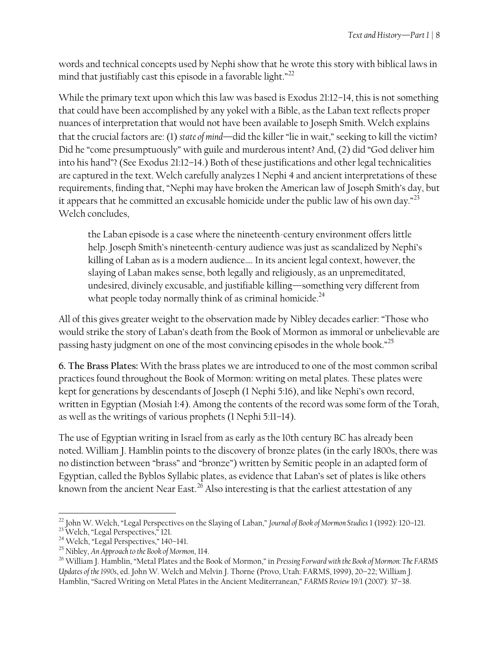words and technical concepts used by Nephi show that he wrote this story with biblical laws in mind that justifiably cast this episode in a favorable light." $^{22}$ 

While the primary text upon which this law was based is Exodus 21:12–14, this is not something that could have been accomplished by any yokel with a Bible, as the Laban text reflects proper nuances of interpretation that would not have been available to Joseph Smith. Welch explains that the crucial factors are: (1) *state of mind*—did the killer "lie in wait," seeking to kill the victim? Did he "come presumptuously" with guile and murderous intent? And, (2) did "God deliver him into his hand"? (See Exodus 21:12–14.) Both of these justifications and other legal technicalities are captured in the text. Welch carefully analyzes 1 Nephi 4 and ancient interpretations of these requirements, finding that, "Nephi may have broken the American law of Joseph Smith's day, but it appears that he committed an excusable homicide under the public law of his own day."<sup>23</sup> Welch concludes,

the Laban episode is a case where the nineteenth-century environment offers little help. Joseph Smith's nineteenth-century audience was just as scandalized by Nephi's killing of Laban as is a modern audience…. In its ancient legal context, however, the slaying of Laban makes sense, both legally and religiously, as an unpremeditated, undesired, divinely excusable, and justifiable killing—something very different from what people today normally think of as criminal homicide.<sup>24</sup>

All of this gives greater weight to the observation made by Nibley decades earlier: "Those who would strike the story of Laban's death from the Book of Mormon as immoral or unbelievable are passing hasty judgment on one of the most convincing episodes in the whole book." $^{25}$ 

**6. The Brass Plates:** With the brass plates we are introduced to one of the most common scribal practices found throughout the Book of Mormon: writing on metal plates. These plates were kept for generations by descendants of Joseph (1 Nephi 5:16), and like Nephi's own record, written in Egyptian (Mosiah 1:4). Among the contents of the record was some form of the Torah, as well as the writings of various prophets (1 Nephi 5:11–14).

The use of Egyptian writing in Israel from as early as the 10th century BC has already been noted. William J. Hamblin points to the discovery of bronze plates (in the early 1800s, there was no distinction between "brass" and "bronze") written by Semitic people in an adapted form of Egyptian, called the Byblos Syllabic plates, as evidence that Laban's set of plates is like others known from the ancient Near East.<sup>26</sup> Also interesting is that the earliest attestation of any

 $\overline{a}$ <sup>22</sup> John W. Welch, "Legal Perspectives on the Slaying of Laban," *Journal of Book of Mormon Studies* 1 (1992): 120–121.

<sup>&</sup>lt;sup>23</sup> Welch, "Legal Perspectives," 121.

<sup>24</sup> Welch, "Legal Perspectives," 140–141.

<sup>25</sup> Nibley, *An Approach to the Book of Mormon*, 114.

<sup>26</sup> William J. Hamblin, "Metal Plates and the Book of Mormon," in *Pressing Forward with the Book of Mormon: The FARMS Updates of the 1990s*, ed. John W. Welch and Melvin J. Thorne (Provo, Utah: FARMS, 1999), 20–22; William J. Hamblin, "Sacred Writing on Metal Plates in the Ancient Mediterranean," *FARMS Review* 19/1 (2007): 37–38.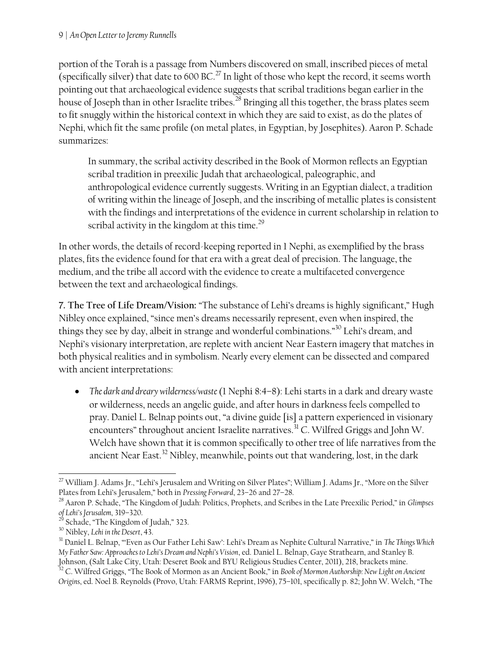portion of the Torah is a passage from Numbers discovered on small, inscribed pieces of metal (specifically silver) that date to 600 BC.<sup>27</sup> In light of those who kept the record, it seems worth pointing out that archaeological evidence suggests that scribal traditions began earlier in the house of Joseph than in other Israelite tribes.<sup>28</sup> Bringing all this together, the brass plates seem to fit snuggly within the historical context in which they are said to exist, as do the plates of Nephi, which fit the same profile (on metal plates, in Egyptian, by Josephites). Aaron P. Schade summarizes:

In summary, the scribal activity described in the Book of Mormon reflects an Egyptian scribal tradition in preexilic Judah that archaeological, paleographic, and anthropological evidence currently suggests. Writing in an Egyptian dialect, a tradition of writing within the lineage of Joseph, and the inscribing of metallic plates is consistent with the findings and interpretations of the evidence in current scholarship in relation to scribal activity in the kingdom at this time.<sup>29</sup>

In other words, the details of record-keeping reported in 1 Nephi, as exemplified by the brass plates, fits the evidence found for that era with a great deal of precision. The language, the medium, and the tribe all accord with the evidence to create a multifaceted convergence between the text and archaeological findings.

**7. The Tree of Life Dream/Vision:** "The substance of Lehi's dreams is highly significant," Hugh Nibley once explained, "since men's dreams necessarily represent, even when inspired, the things they see by day, albeit in strange and wonderful combinations."<sup>30</sup> Lehi's dream, and Nephi's visionary interpretation, are replete with ancient Near Eastern imagery that matches in both physical realities and in symbolism. Nearly every element can be dissected and compared with ancient interpretations:

 *The dark and dreary wilderness/waste*(1 Nephi 8:4–8): Lehi starts in a dark and dreary waste or wilderness, needs an angelic guide, and after hours in darkness feels compelled to pray. Daniel L. Belnap points out, "a divine guide [is] a pattern experienced in visionary encounters" throughout ancient Israelite narratives.<sup>31</sup> C. Wilfred Griggs and John W. Welch have shown that it is common specifically to other tree of life narratives from the ancient Near East.<sup>32</sup> Nibley, meanwhile, points out that wandering, lost, in the dark

 $\overline{\phantom{a}}$ <sup>27</sup> William J. Adams Jr., "Lehi's Jerusalem and Writing on Silver Plates"; William J. Adams Jr., "More on the Silver Plates from Lehi's Jerusalem," both in *Pressing Forward*, 23–26 and 27–28.

<sup>28</sup> Aaron P. Schade, "The Kingdom of Judah: Politics, Prophets, and Scribes in the Late Preexilic Period," in *Glimpses of Lehi's Jerusalem*, 319–320.

Schade, "The Kingdom of Judah," 323.

<sup>30</sup> Nibley, *Lehi in the Desert*, 43.

<sup>31</sup> Daniel L. Belnap, "'Even as Our Father Lehi Saw': Lehi's Dream as Nephite Cultural Narrative," in *The Things Which My Father Saw: Approaches to Lehi's Dream and Nephi's Vision*, ed. Daniel L. Belnap, Gaye Strathearn, and Stanley B. Johnson, (Salt Lake City, Utah: Deseret Book and BYU Religious Studies Center, 2011), 218, brackets mine.

<sup>32</sup> C. Wilfred Griggs, "The Book of Mormon as an Ancient Book," in *Book of Mormon Authorship: New Light on Ancient Origins*, ed. Noel B. Reynolds (Provo, Utah: FARMS Reprint, 1996), 75–101, specifically p. 82; John W. Welch, "The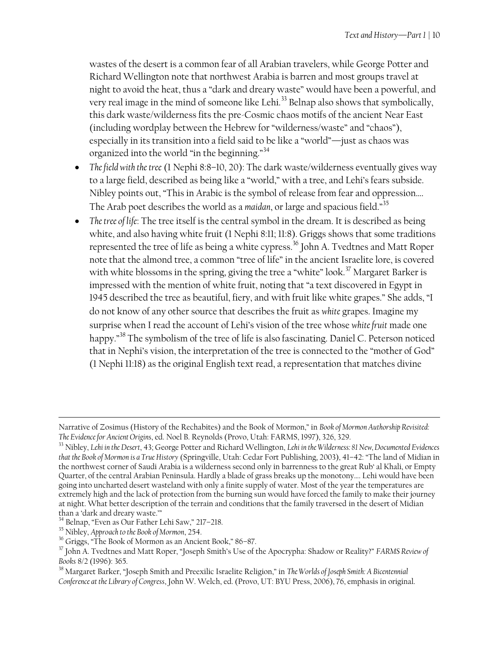wastes of the desert is a common fear of all Arabian travelers, while George Potter and Richard Wellington note that northwest Arabia is barren and most groups travel at night to avoid the heat, thus a "dark and dreary waste" would have been a powerful, and very real image in the mind of someone like Lehi.<sup>33</sup> Belnap also shows that symbolically, this dark waste/wilderness fits the pre-Cosmic chaos motifs of the ancient Near East (including wordplay between the Hebrew for "wilderness/waste" and "chaos"), especially in its transition into a field said to be like a "world"—just as chaos was organized into the world "in the beginning."<sup>34</sup>

- *The field with the tree* (1 Nephi 8:8–10, 20): The dark waste/wilderness eventually gives way to a large field, described as being like a "world," with a tree, and Lehi's fears subside. Nibley points out, "This in Arabic is the symbol of release from fear and oppression…. The Arab poet describes the world as a *maidan*, or large and spacious field."<sup>35</sup>
- *The tree of life*: The tree itself is the central symbol in the dream. It is described as being white, and also having white fruit (1 Nephi 8:11; 11:8). Griggs shows that some traditions represented the tree of life as being a white cypress.<sup>36</sup> John A. Tvedtnes and Matt Roper note that the almond tree, a common "tree of life" in the ancient Israelite lore, is covered with white blossoms in the spring, giving the tree a "white" look.<sup>37</sup> Margaret Barker is impressed with the mention of white fruit, noting that "a text discovered in Egypt in 1945 described the tree as beautiful, fiery, and with fruit like white grapes." She adds, "I do not know of any other source that describes the fruit as *white* grapes. Imagine my surprise when I read the account of Lehi's vision of the tree whose *white fruit* made one happy."<sup>38</sup> The symbolism of the tree of life is also fascinating. Daniel C. Peterson noticed that in Nephi's vision, the interpretation of the tree is connected to the "mother of God" (1 Nephi 11:18) as the original English text read, a representation that matches divine

 $\overline{\phantom{a}}$ 

Narrative of Zosimus (History of the Rechabites) and the Book of Mormon," in *Book of Mormon Authorship Revisited: The Evidence for Ancient Origins*, ed. Noel B. Reynolds (Provo, Utah: FARMS, 1997), 326, 329.

<sup>33</sup> Nibley, *Lehi in the Desert*, 43; George Potter and Richard Wellington, *Lehi in the Wilderness: 81 New, Documented Evidences that the Book of Mormon is a True History* (Springville, Utah: Cedar Fort Publishing, 2003), 41–42: "The land of Midian in the northwest corner of Saudi Arabia is a wilderness second only in barrenness to the great Rub' al Khali, or Empty Quarter, of the central Arabian Peninsula. Hardly a blade of grass breaks up the monotony…. Lehi would have been going into uncharted desert wasteland with only a finite supply of water. Most of the year the temperatures are extremely high and the lack of protection from the burning sun would have forced the family to make their journey at night. What better description of the terrain and conditions that the family traversed in the desert of Midian than a 'dark and dreary waste.'"

<sup>34</sup> Belnap, "Even as Our Father Lehi Saw," 217–218.

<sup>35</sup> Nibley, *Approach to the Book of Mormon*, 254.

<sup>36</sup> Griggs, "The Book of Mormon as an Ancient Book," 86–87.

<sup>37</sup> John A. Tvedtnes and Matt Roper, "Joseph Smith's Use of the Apocrypha: Shadow or Reality?" *FARMS Review of Books* 8/2 (1996): 365.

<sup>38</sup> Margaret Barker, "Joseph Smith and Preexilic Israelite Religion," in *The Worlds of Joseph Smith: A Bicentennial Conference at the Library of Congress*, John W. Welch, ed. (Provo, UT: BYU Press, 2006), 76, emphasis in original.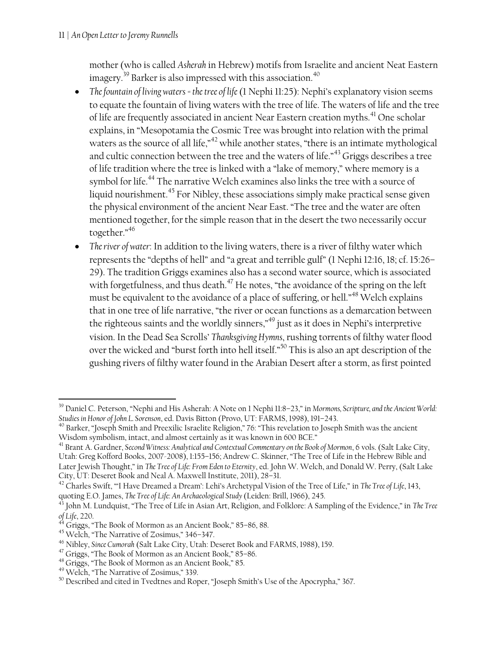mother (who is called *Asherah* in Hebrew) motifs from Israelite and ancient Neat Eastern imagery.<sup>39</sup> Barker is also impressed with this association.<sup>40</sup>

- The fountain of living waters *= the tree of life* (1 Nephi 11:25): Nephi's explanatory vision seems to equate the fountain of living waters with the tree of life. The waters of life and the tree of life are frequently associated in ancient Near Eastern creation myths.<sup>41</sup> One scholar explains, in "Mesopotamia the Cosmic Tree was brought into relation with the primal waters as the source of all life," $42$  while another states, "there is an intimate mythological and cultic connection between the tree and the waters of life."<sup>43</sup> Griggs describes a tree of life tradition where the tree is linked with a "lake of memory," where memory is a symbol for life.<sup>44</sup> The narrative Welch examines also links the tree with a source of liquid nourishment.<sup>45</sup> For Nibley, these associations simply make practical sense given the physical environment of the ancient Near East. "The tree and the water are often mentioned together, for the simple reason that in the desert the two necessarily occur together."<sup>46</sup>
- *The river of water*: In addition to the living waters, there is a river of filthy water which represents the "depths of hell" and "a great and terrible gulf" (1 Nephi 12:16, 18; cf. 15:26– 29). The tradition Griggs examines also has a second water source, which is associated with forgetfulness, and thus death.<sup>47</sup> He notes, "the avoidance of the spring on the left must be equivalent to the avoidance of a place of suffering, or hell."<sup>48</sup> Welch explains that in one tree of life narrative, "the river or ocean functions as a demarcation between the righteous saints and the worldly sinners,"<sup>49</sup> just as it does in Nephi's interpretive vision. In the Dead Sea Scrolls' *Thanksgiving Hymns*, rushing torrents of filthy water flood over the wicked and "burst forth into hell itself."<sup>50</sup> This is also an apt description of the gushing rivers of filthy water found in the Arabian Desert after a storm, as first pointed

 $\overline{a}$ 

<sup>39</sup> Daniel C. Peterson, "Nephi and His Asherah: A Note on 1 Nephi 11:8–23," in *Mormons, Scripture, and the Ancient World: Studies in Honor of John L. Sorenson*, ed. Davis Bitton (Provo, UT: FARMS, 1998), 191–243.

<sup>40</sup> Barker, "Joseph Smith and Preexilic Israelite Religion," 76: "This revelation to Joseph Smith was the ancient Wisdom symbolism, intact, and almost certainly as it was known in 600 BCE."

<sup>41</sup> Brant A. Gardner, *Second Witness: Analytical and Contextual Commentary on the Book of Mormon*, 6 vols. (Salt Lake City, Utah: Greg Kofford Books, 2007-2008), 1:155–156; Andrew C. Skinner, "The Tree of Life in the Hebrew Bible and Later Jewish Thought," in *The Tree of Life: From Eden to Eternity*, ed. John W. Welch, and Donald W. Perry, (Salt Lake City, UT: Deseret Book and Neal A. Maxwell Institute, 2011), 28–31.

<sup>42</sup> Charles Swift, "'I Have Dreamed a Dream': Lehi's Archetypal Vision of the Tree of Life," in *The Tree of Life*, 143, quoting E.O. James, *The Tree of Life: An Archaeological Study* (Leiden: Brill, 1966), 245.

<sup>43</sup> John M. Lundquist, "The Tree of Life in Asian Art, Religion, and Folklore: A Sampling of the Evidence," in *The Tree of Life*, 220.

Griggs, "The Book of Mormon as an Ancient Book," 85-86, 88.

<sup>45</sup> Welch, "The Narrative of Zosimus," 346–347.

<sup>46</sup> Nibley, *Since Cumorah* (Salt Lake City, Utah: Deseret Book and FARMS, 1988), 159.

<sup>&</sup>lt;sup>47</sup> Griggs, "The Book of Mormon as an Ancient Book," 85-86.

<sup>&</sup>lt;sup>48</sup> Griggs, "The Book of Mormon as an Ancient Book," 85.

<sup>49</sup> Welch, "The Narrative of Zosimus," 339.

<sup>&</sup>lt;sup>50</sup> Described and cited in Tvedtnes and Roper, "Joseph Smith's Use of the Apocrypha," 367.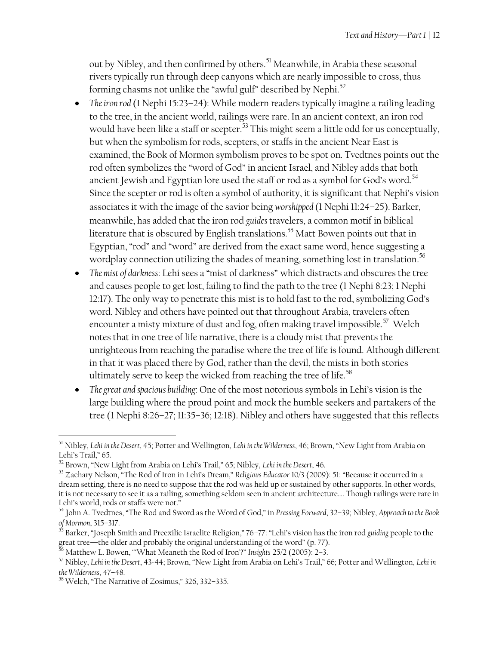out by Nibley, and then confirmed by others.<sup>51</sup> Meanwhile, in Arabia these seasonal rivers typically run through deep canyons which are nearly impossible to cross, thus forming chasms not unlike the "awful gulf" described by Nephi.<sup>52</sup>

- *The iron rod* (1 Nephi 15:23–24): While modern readers typically imagine a railing leading to the tree, in the ancient world, railings were rare. In an ancient context, an iron rod would have been like a staff or scepter.<sup>53</sup> This might seem a little odd for us conceptually, but when the symbolism for rods, scepters, or staffs in the ancient Near East is examined, the Book of Mormon symbolism proves to be spot on. Tvedtnes points out the rod often symbolizes the "word of God" in ancient Israel, and Nibley adds that both ancient Jewish and Egyptian lore used the staff or rod as a symbol for God's word. $^{54}$ Since the scepter or rod is often a symbol of authority, it is significant that Nephi's vision associates it with the image of the savior being *worshipped* (1 Nephi 11:24–25). Barker, meanwhile, has added that the iron rod *guides* travelers, a common motif in biblical literature that is obscured by English translations.<sup>55</sup> Matt Bowen points out that in Egyptian, "rod" and "word" are derived from the exact same word, hence suggesting a wordplay connection utilizing the shades of meaning, something lost in translation. 56
- *The mist of darkness*: Lehi sees a "mist of darkness" which distracts and obscures the tree and causes people to get lost, failing to find the path to the tree (1 Nephi 8:23; 1 Nephi 12:17). The only way to penetrate this mist is to hold fast to the rod, symbolizing God's word. Nibley and others have pointed out that throughout Arabia, travelers often encounter a misty mixture of dust and fog, often making travel impossible.<sup>57</sup> Welch notes that in one tree of life narrative, there is a cloudy mist that prevents the unrighteous from reaching the paradise where the tree of life is found. Although different in that it was placed there by God, rather than the devil, the mists in both stories ultimately serve to keep the wicked from reaching the tree of life.<sup>58</sup>
- *The great and spacious building*: One of the most notorious symbols in Lehi's vision is the large building where the proud point and mock the humble seekers and partakers of the tree (1 Nephi 8:26–27; 11:35–36; 12:18). Nibley and others have suggested that this reflects

 $\overline{a}$ 

<sup>51</sup> Nibley, *Lehi in the Desert*, 45; Potter and Wellington, *Lehi in the Wilderness*, 46; Brown, "New Light from Arabia on Lehi's Trail," 65.

<sup>52</sup> Brown, "New Light from Arabia on Lehi's Trail," 65; Nibley, *Lehi in the Desert*, 46.

<sup>53</sup> Zachary Nelson, "The Rod of Iron in Lehi's Dream," *Religious Educator* 10/3 (2009): 51: "Because it occurred in a dream setting, there is no need to suppose that the rod was held up or sustained by other supports. In other words, it is not necessary to see it as a railing, something seldom seen in ancient architecture…. Though railings were rare in Lehi's world, rods or staffs were not."

<sup>54</sup> John A. Tvedtnes, "The Rod and Sword as the Word of God," in *Pressing Forward*, 32–39; Nibley, *Approach to the Book of Mormon*, 315–317.

<sup>55</sup> Barker, "Joseph Smith and Preexilic Israelite Religion," 76–77: "Lehi's vision has the iron rod *guiding* people to the great tree—the older and probably the original understanding of the word" (p. 77).

<sup>56</sup> Matthew L. Bowen, "'What Meaneth the Rod of Iron'?" *Insights* 25/2 (2005): 2–3.

<sup>57</sup> Nibley, *Lehi in the Desert*, 43-44; Brown, "New Light from Arabia on Lehi's Trail," 66; Potter and Wellington, *Lehi in the Wilderness*, 47–48.

<sup>58</sup> Welch, "The Narrative of Zosimus," 326, 332–335.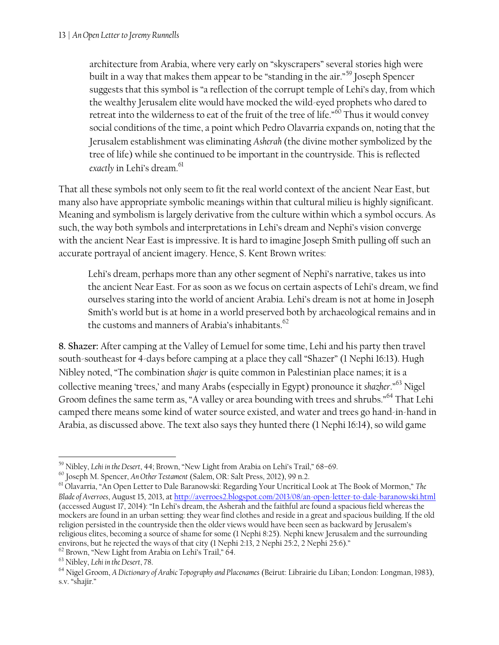architecture from Arabia, where very early on "skyscrapers" several stories high were built in a way that makes them appear to be "standing in the air."<sup>59</sup> Joseph Spencer suggests that this symbol is "a reflection of the corrupt temple of Lehi's day, from which the wealthy Jerusalem elite would have mocked the wild-eyed prophets who dared to retreat into the wilderness to eat of the fruit of the tree of life."<sup>60</sup> Thus it would convey social conditions of the time, a point which Pedro Olavarria expands on, noting that the Jerusalem establishment was eliminating *Asherah* (the divine mother symbolized by the tree of life) while she continued to be important in the countryside. This is reflected *exactly* in Lehi's dream.<sup>61</sup>

That all these symbols not only seem to fit the real world context of the ancient Near East, but many also have appropriate symbolic meanings within that cultural milieu is highly significant. Meaning and symbolism is largely derivative from the culture within which a symbol occurs. As such, the way both symbols and interpretations in Lehi's dream and Nephi's vision converge with the ancient Near East is impressive. It is hard to imagine Joseph Smith pulling off such an accurate portrayal of ancient imagery. Hence, S. Kent Brown writes:

Lehi's dream, perhaps more than any other segment of Nephi's narrative, takes us into the ancient Near East. For as soon as we focus on certain aspects of Lehi's dream, we find ourselves staring into the world of ancient Arabia. Lehi's dream is not at home in Joseph Smith's world but is at home in a world preserved both by archaeological remains and in the customs and manners of Arabia's inhabitants. $62$ 

**8. Shazer:** After camping at the Valley of Lemuel for some time, Lehi and his party then travel south-southeast for 4-days before camping at a place they call "Shazer" (1 Nephi 16:13). Hugh Nibley noted, "The combination *shajer* is quite common in Palestinian place names; it is a collective meaning 'trees,' and many Arabs (especially in Egypt) pronounce it *shazher*." <sup>63</sup> Nigel Groom defines the same term as, "A valley or area bounding with trees and shrubs."<sup>64</sup> That Lehi camped there means some kind of water source existed, and water and trees go hand-in-hand in Arabia, as discussed above. The text also says they hunted there (1 Nephi 16:14), so wild game

 $\overline{\phantom{a}}$ 

<sup>59</sup> Nibley, *Lehi in the Desert*, 44; Brown, "New Light from Arabia on Lehi's Trail," 68–69.

<sup>60</sup> Joseph M. Spencer, *An Other Testament* (Salem, OR: Salt Press, 2012), 99 n.2.

<sup>61</sup> Olavarria, "An Open Letter to Dale Baranowski: Regarding Your Uncritical Look at The Book of Mormon," *The Blade of Averroes*, August 15, 2013, at<http://averroes2.blogspot.com/2013/08/an-open-letter-to-dale-baranowski.html> (accessed August 17, 2014): "In Lehi's dream, the Asherah and the faithful are found a spacious field whereas the mockers are found in an urban setting: they wear find clothes and reside in a great and spacious building. If the old religion persisted in the countryside then the older views would have been seen as backward by Jerusalem's religious elites, becoming a source of shame for some (1 Nephi 8:25). Nephi knew Jerusalem and the surrounding environs, but he rejected the ways of that city (1 Nephi 2:13, 2 Nephi 25:2, 2 Nephi 25:6)."

<sup>&</sup>lt;sup>62</sup> Brown, "New Light from Arabia on Lehi's Trail," 64.

<sup>63</sup> Nibley, *Lehi in the Desert*, 78.

<sup>64</sup> Nigel Groom, *A Dictionary of Arabic Topography and Placenames* (Beirut: Librairie du Liban; London: Longman, 1983), s.v. "shajir."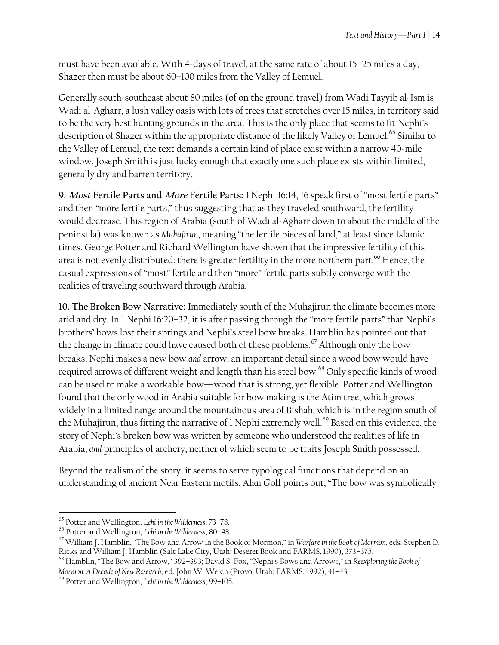must have been available. With 4-days of travel, at the same rate of about 15–25 miles a day, Shazer then must be about 60–100 miles from the Valley of Lemuel.

Generally south-southeast about 80 miles (of on the ground travel) from Wadi Tayyib al-Ism is Wadi al-Agharr, a lush valley oasis with lots of trees that stretches over 15 miles, in territory said to be the very best hunting grounds in the area. This is the only place that seems to fit Nephi's description of Shazer within the appropriate distance of the likely Valley of Lemuel.<sup>65</sup> Similar to the Valley of Lemuel, the text demands a certain kind of place exist within a narrow 40-mile window. Joseph Smith is just lucky enough that exactly one such place exists within limited, generally dry and barren territory.

**9. Most Fertile Parts and More Fertile Parts:** 1 Nephi 16:14, 16 speak first of "most fertile parts" and then "more fertile parts," thus suggesting that as they traveled southward, the fertility would decrease. This region of Arabia (south of Wadi al-Agharr down to about the middle of the peninsula) was known as *Muhajirun*, meaning "the fertile pieces of land," at least since Islamic times. George Potter and Richard Wellington have shown that the impressive fertility of this area is not evenly distributed: there is greater fertility in the more northern part.<sup>66</sup> Hence, the casual expressions of "most" fertile and then "more" fertile parts subtly converge with the realities of traveling southward through Arabia.

**10. The Broken Bow Narrative:** Immediately south of the Muhajirun the climate becomes more arid and dry. In 1 Nephi 16:20–32, it is after passing through the "more fertile parts" that Nephi's brothers' bows lost their springs and Nephi's steel bow breaks. Hamblin has pointed out that the change in climate could have caused both of these problems.<sup>67</sup> Although only the bow breaks, Nephi makes a new bow *and* arrow, an important detail since a wood bow would have required arrows of different weight and length than his steel bow.<sup>68</sup> Only specific kinds of wood can be used to make a workable bow—wood that is strong, yet flexible. Potter and Wellington found that the only wood in Arabia suitable for bow making is the Atim tree, which grows widely in a limited range around the mountainous area of Bishah, which is in the region south of the Muhajirun, thus fitting the narrative of 1 Nephi extremely well.<sup>69</sup> Based on this evidence, the story of Nephi's broken bow was written by someone who understood the realities of life in Arabia, *and* principles of archery, neither of which seem to be traits Joseph Smith possessed.

Beyond the realism of the story, it seems to serve typological functions that depend on an understanding of ancient Near Eastern motifs. Alan Goff points out, "The bow was symbolically

 $\overline{\phantom{a}}$ 

<sup>65</sup> Potter and Wellington, *Lehi in the Wilderness*, 73–78.

<sup>66</sup> Potter and Wellington, *Lehi in the Wilderness*, 80–98.

<sup>67</sup> William J. Hamblin, "The Bow and Arrow in the Book of Mormon," in *Warfare in the Book of Mormon*, eds. Stephen D. Ricks and William J. Hamblin (Salt Lake City, Utah: Deseret Book and FARMS, 1990), 373–375.

<sup>68</sup> Hamblin, "The Bow and Arrow," 392–393; David S. Fox, "Nephi's Bows and Arrows," in *Reexploring the Book of Mormon: A Decade of New Research*, ed. John W. Welch (Provo, Utah: FARMS, 1992), 41–43.

<sup>69</sup> Potter and Wellington, *Lehi in the Wilderness*, 99–105.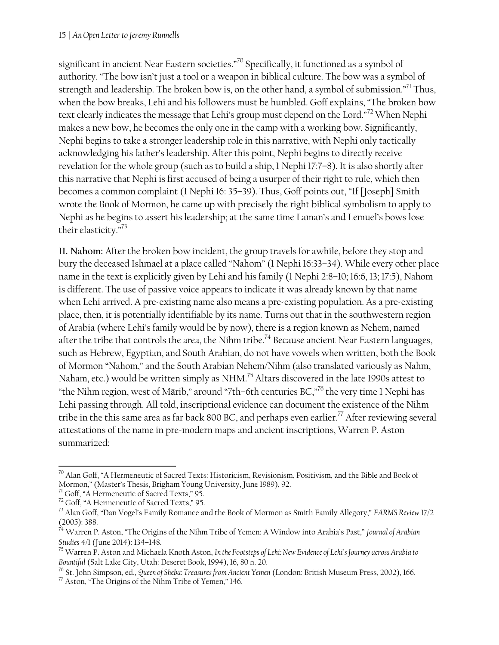significant in ancient Near Eastern societies."<sup>70</sup> Specifically, it functioned as a symbol of authority. "The bow isn't just a tool or a weapon in biblical culture. The bow was a symbol of strength and leadership. The broken bow is, on the other hand, a symbol of submission."<sup>71</sup> Thus, when the bow breaks, Lehi and his followers must be humbled. Goff explains, "The broken bow text clearly indicates the message that Lehi's group must depend on the Lord."<sup>72</sup> When Nephi makes a new bow, he becomes the only one in the camp with a working bow. Significantly, Nephi begins to take a stronger leadership role in this narrative, with Nephi only tactically acknowledging his father's leadership. After this point, Nephi begins to directly receive revelation for the whole group (such as to build a ship, 1 Nephi 17:7–8). It is also shortly after this narrative that Nephi is first accused of being a usurper of their right to rule, which then becomes a common complaint (1 Nephi 16: 35–39). Thus, Goff points out, "If [Joseph] Smith wrote the Book of Mormon, he came up with precisely the right biblical symbolism to apply to Nephi as he begins to assert his leadership; at the same time Laman's and Lemuel's bows lose their elasticity."<sup>73</sup>

**11. Nahom:** After the broken bow incident, the group travels for awhile, before they stop and bury the deceased Ishmael at a place called "Nahom" (1 Nephi 16:33–34). While every other place name in the text is explicitly given by Lehi and his family (1 Nephi 2:8–10; 16:6, 13; 17:5), Nahom is different. The use of passive voice appears to indicate it was already known by that name when Lehi arrived. A pre-existing name also means a pre-existing population. As a pre-existing place, then, it is potentially identifiable by its name. Turns out that in the southwestern region of Arabia (where Lehi's family would be by now), there is a region known as Nehem, named after the tribe that controls the area, the Nihm tribe.<sup>74</sup> Because ancient Near Eastern languages, such as Hebrew, Egyptian, and South Arabian, do not have vowels when written, both the Book of Mormon "Nahom," and the South Arabian Nehem/Nihm (also translated variously as Nahm, Naham, etc.) would be written simply as NHM.<sup>75</sup> Altars discovered in the late 1990s attest to "the Nihm region, west of Mārib," around "7th–6th centuries BC,"<sup>76</sup> the very time 1 Nephi has Lehi passing through. All told, inscriptional evidence can document the existence of the Nihm tribe in the this same area as far back 800 BC, and perhaps even earlier.<sup>77</sup> After reviewing several attestations of the name in pre-modern maps and ancient inscriptions, Warren P. Aston summarized:

 $\overline{a}$  $^{70}$  Alan Goff, "A Hermeneutic of Sacred Texts: Historicism, Revisionism, Positivism, and the Bible and Book of Mormon," (Master's Thesis, Brigham Young University, June 1989), 92.

 $7^7$  Goff, "A Hermeneutic of Sacred Texts," 95.

<sup>72</sup> Goff, "A Hermeneutic of Sacred Texts," 95.

<sup>73</sup> Alan Goff, "Dan Vogel's Family Romance and the Book of Mormon as Smith Family Allegory," *FARMS Review* 17/2 (2005): 388.

<sup>74</sup> Warren P. Aston, "The Origins of the Nihm Tribe of Yemen: A Window into Arabia's Past," *Journal of Arabian Studies* 4/1 (June 2014): 134–148.

<sup>75</sup> Warren P. Aston and Michaela Knoth Aston, *In the Footsteps of Lehi: New Evidence of Lehi's Journey across Arabia to Bountiful* (Salt Lake City, Utah: Deseret Book, 1994), 16, 80 n. 20.

<sup>76</sup> St. John Simpson, ed., *Queen of Sheba: Treasures from Ancient Yemen* (London: British Museum Press, 2002), 166.  $77$  Aston, "The Origins of the Nihm Tribe of Yemen," 146.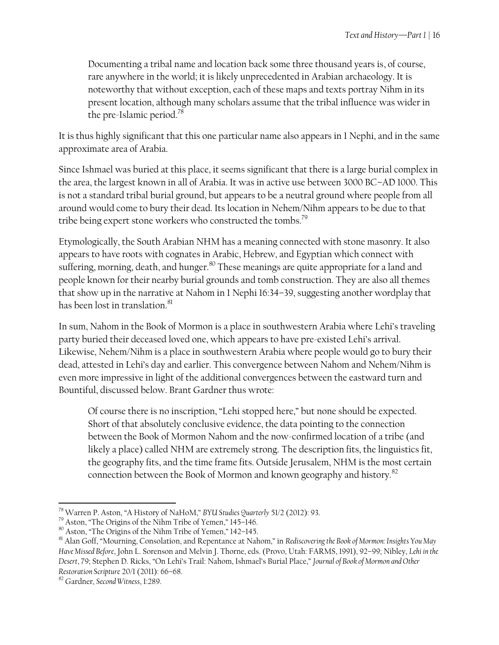Documenting a tribal name and location back some three thousand years is, of course, rare anywhere in the world; it is likely unprecedented in Arabian archaeology. It is noteworthy that without exception, each of these maps and texts portray Nihm in its present location, although many scholars assume that the tribal influence was wider in the pre-Islamic period.<sup>78</sup>

It is thus highly significant that this one particular name also appears in 1 Nephi, and in the same approximate area of Arabia.

Since Ishmael was buried at this place, it seems significant that there is a large burial complex in the area, the largest known in all of Arabia. It was in active use between 3000 BC–AD 1000. This is not a standard tribal burial ground, but appears to be a neutral ground where people from all around would come to bury their dead. Its location in Nehem/Nihm appears to be due to that tribe being expert stone workers who constructed the tombs.<sup>79</sup>

Etymologically, the South Arabian NHM has a meaning connected with stone masonry. It also appears to have roots with cognates in Arabic, Hebrew, and Egyptian which connect with suffering, morning, death, and hunger.<sup>80</sup> These meanings are quite appropriate for a land and people known for their nearby burial grounds and tomb construction. They are also all themes that show up in the narrative at Nahom in 1 Nephi 16:34–39, suggesting another wordplay that has been lost in translation.<sup>81</sup>

In sum, Nahom in the Book of Mormon is a place in southwestern Arabia where Lehi's traveling party buried their deceased loved one, which appears to have pre-existed Lehi's arrival. Likewise, Nehem/Nihm is a place in southwestern Arabia where people would go to bury their dead, attested in Lehi's day and earlier. This convergence between Nahom and Nehem/Nihm is even more impressive in light of the additional convergences between the eastward turn and Bountiful, discussed below. Brant Gardner thus wrote:

Of course there is no inscription, "Lehi stopped here," but none should be expected. Short of that absolutely conclusive evidence, the data pointing to the connection between the Book of Mormon Nahom and the now-confirmed location of a tribe (and likely a place) called NHM are extremely strong. The description fits, the linguistics fit, the geography fits, and the time frame fits. Outside Jerusalem, NHM is the most certain connection between the Book of Mormon and known geography and history.<sup>82</sup>

 $\overline{a}$ 

<sup>78</sup> Warren P. Aston, "A History of NaHoM," *BYU Studies Quarterly* 51/2 (2012): 93.

<sup>79</sup> Aston, "The Origins of the Nihm Tribe of Yemen," 145–146.

<sup>80</sup> Aston, "The Origins of the Nihm Tribe of Yemen," 142–145.

<sup>81</sup> Alan Goff, "Mourning, Consolation, and Repentance at Nahom," in *Rediscovering the Book of Mormon: Insights You May Have Missed Before*, John L. Sorenson and Melvin J. Thorne, eds. (Provo, Utah: FARMS, 1991), 92–99; Nibley, *Lehi in the Desert*, 79; Stephen D. Ricks, "On Lehi's Trail: Nahom, Ishmael's Burial Place," *Journal of Book of Mormon and Other Restoration Scripture* 20/1 (2011): 66–68.

<sup>82</sup> Gardner, *Second Witness*, 1:289.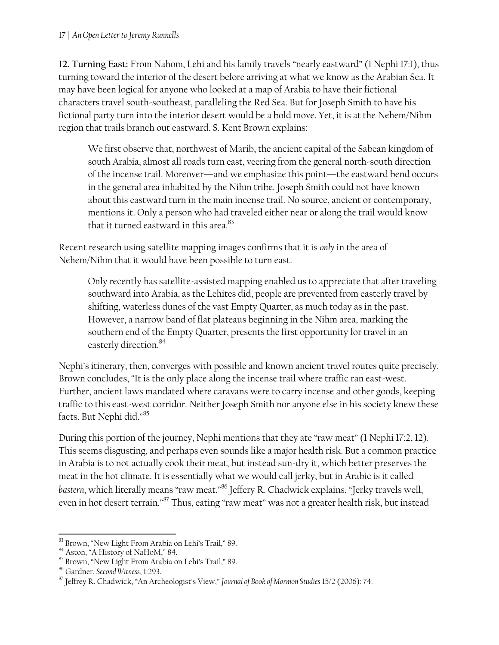**12. Turning East:** From Nahom, Lehi and his family travels "nearly eastward" (1 Nephi 17:1), thus turning toward the interior of the desert before arriving at what we know as the Arabian Sea. It may have been logical for anyone who looked at a map of Arabia to have their fictional characters travel south-southeast, paralleling the Red Sea. But for Joseph Smith to have his fictional party turn into the interior desert would be a bold move. Yet, it is at the Nehem/Nihm region that trails branch out eastward. S. Kent Brown explains:

We first observe that, northwest of Marib, the ancient capital of the Sabean kingdom of south Arabia, almost all roads turn east, veering from the general north-south direction of the incense trail. Moreover—and we emphasize this point—the eastward bend occurs in the general area inhabited by the Nihm tribe. Joseph Smith could not have known about this eastward turn in the main incense trail. No source, ancient or contemporary, mentions it. Only a person who had traveled either near or along the trail would know that it turned eastward in this area. $^{83}$ 

Recent research using satellite mapping images confirms that it is *only* in the area of Nehem/Nihm that it would have been possible to turn east.

Only recently has satellite-assisted mapping enabled us to appreciate that after traveling southward into Arabia, as the Lehites did, people are prevented from easterly travel by shifting, waterless dunes of the vast Empty Quarter, as much today as in the past. However, a narrow band of flat plateaus beginning in the Nihm area, marking the southern end of the Empty Quarter, presents the first opportunity for travel in an easterly direction. 84

Nephi's itinerary, then, converges with possible and known ancient travel routes quite precisely. Brown concludes, "It is the only place along the incense trail where traffic ran east-west. Further, ancient laws mandated where caravans were to carry incense and other goods, keeping traffic to this east-west corridor. Neither Joseph Smith nor anyone else in his society knew these facts. But Nephi did."<sup>85</sup>

During this portion of the journey, Nephi mentions that they ate "raw meat" (1 Nephi 17:2, 12). This seems disgusting, and perhaps even sounds like a major health risk. But a common practice in Arabia is to not actually cook their meat, but instead sun-dry it, which better preserves the meat in the hot climate. It is essentially what we would call jerky, but in Arabic is it called *bastern*, which literally means "raw meat."<sup>86</sup> Jeffery R. Chadwick explains, "Jerky travels well, even in hot desert terrain."<sup>87</sup> Thus, eating "raw meat" was not a greater health risk, but instead

 $\overline{\phantom{a}}$  $^{83}$  Brown, "New Light From Arabia on Lehi's Trail," 89.

<sup>&</sup>lt;sup>84</sup> Aston, "A History of NaHoM," 84.

<sup>85</sup> Brown, "New Light From Arabia on Lehi's Trail," 89.

<sup>86</sup> Gardner, *Second Witness*, 1:293.

<sup>87</sup> Jeffrey R. Chadwick, "An Archeologist's View," *Journal of Book of Mormon Studies* 15/2 (2006): 74.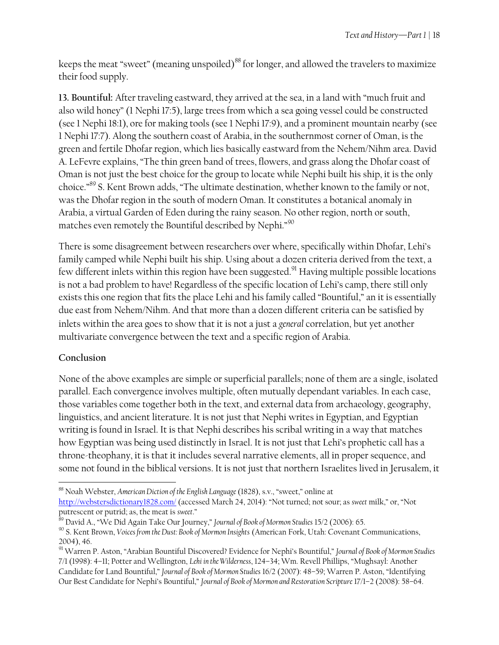keeps the meat "sweet" (meaning unspoiled)<sup>88</sup> for longer, and allowed the travelers to maximize their food supply.

**13. Bountiful:** After traveling eastward, they arrived at the sea, in a land with "much fruit and also wild honey" (1 Nephi 17:5), large trees from which a sea going vessel could be constructed (see 1 Nephi 18:1), ore for making tools (see 1 Nephi 17:9), and a prominent mountain nearby (see 1 Nephi 17:7). Along the southern coast of Arabia, in the southernmost corner of Oman, is the green and fertile Dhofar region, which lies basically eastward from the Nehem/Nihm area. David A. LeFevre explains, "The thin green band of trees, flowers, and grass along the Dhofar coast of Oman is not just the best choice for the group to locate while Nephi built his ship, it is the only choice."<sup>89</sup> S. Kent Brown adds, "The ultimate destination, whether known to the family or not, was the Dhofar region in the south of modern Oman. It constitutes a botanical anomaly in Arabia, a virtual Garden of Eden during the rainy season. No other region, north or south, matches even remotely the Bountiful described by Nephi."<sup>90</sup>

There is some disagreement between researchers over where, specifically within Dhofar, Lehi's family camped while Nephi built his ship. Using about a dozen criteria derived from the text, a few different inlets within this region have been suggested.<sup>91</sup> Having multiple possible locations is not a bad problem to have! Regardless of the specific location of Lehi's camp, there still only exists this one region that fits the place Lehi and his family called "Bountiful," an it is essentially due east from Nehem/Nihm. And that more than a dozen different criteria can be satisfied by inlets within the area goes to show that it is not a just a *general* correlation, but yet another multivariate convergence between the text and a specific region of Arabia.

### **Conclusion**

 $\overline{\phantom{a}}$ 

None of the above examples are simple or superficial parallels; none of them are a single, isolated parallel. Each convergence involves multiple, often mutually dependant variables. In each case, those variables come together both in the text, and external data from archaeology, geography, linguistics, and ancient literature. It is not just that Nephi writes in Egyptian, and Egyptian writing is found in Israel. It is that Nephi describes his scribal writing in a way that matches how Egyptian was being used distinctly in Israel. It is not just that Lehi's prophetic call has a throne-theophany, it is that it includes several narrative elements, all in proper sequence, and some not found in the biblical versions. It is not just that northern Israelites lived in Jerusalem, it

<sup>88</sup> Noah Webster, *American Diction of the English Language* (1828), s.v., "sweet," online at <http://webstersdictionary1828.com/> (accessed March 24, 2014): "Not turned; not sour; as *sweet* milk," or, "Not putrescent or putrid; as, the meat is *sweet*."

<sup>89</sup> David A., "We Did Again Take Our Journey," *Journal of Book of Mormon Studies* 15/2 (2006): 65.

<sup>90</sup> S. Kent Brown, *Voices from the Dust: Book of Mormon Insights* (American Fork, Utah: Covenant Communications, 2004), 46.

<sup>91</sup> Warren P. Aston, "Arabian Bountiful Discovered? Evidence for Nephi's Bountiful," *Journal of Book of Mormon Studies*  7/1 (1998): 4–11; Potter and Wellington, *Lehi in the Wilderness*, 124–34; Wm. Revell Phillips, "Mughsayl: Another Candidate for Land Bountiful," *Journal of Book of Mormon Studies* 16/2 (2007): 48–59; Warren P. Aston, "Identifying Our Best Candidate for Nephi's Bountiful," *Journal of Book of Mormon and Restoration Scripture* 17/1–2 (2008): 58–64.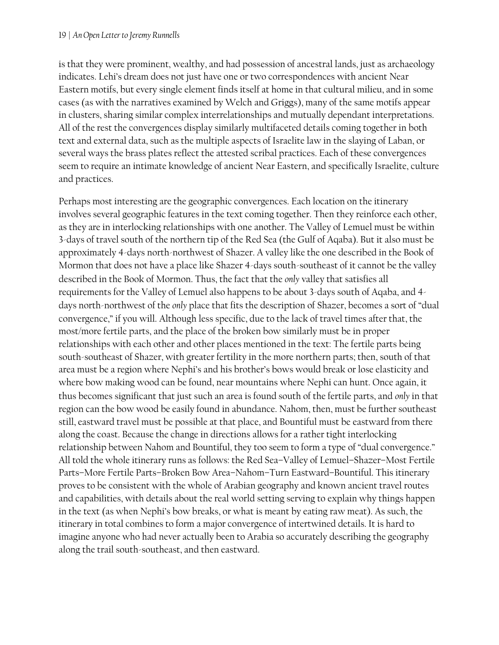is that they were prominent, wealthy, and had possession of ancestral lands, just as archaeology indicates. Lehi's dream does not just have one or two correspondences with ancient Near Eastern motifs, but every single element finds itself at home in that cultural milieu, and in some cases (as with the narratives examined by Welch and Griggs), many of the same motifs appear in clusters, sharing similar complex interrelationships and mutually dependant interpretations. All of the rest the convergences display similarly multifaceted details coming together in both text and external data, such as the multiple aspects of Israelite law in the slaying of Laban, or several ways the brass plates reflect the attested scribal practices. Each of these convergences seem to require an intimate knowledge of ancient Near Eastern, and specifically Israelite, culture and practices.

Perhaps most interesting are the geographic convergences. Each location on the itinerary involves several geographic features in the text coming together. Then they reinforce each other, as they are in interlocking relationships with one another. The Valley of Lemuel must be within 3-days of travel south of the northern tip of the Red Sea (the Gulf of Aqaba). But it also must be approximately 4-days north-northwest of Shazer. A valley like the one described in the Book of Mormon that does not have a place like Shazer 4-days south-southeast of it cannot be the valley described in the Book of Mormon. Thus, the fact that the *only* valley that satisfies all requirements for the Valley of Lemuel also happens to be about 3-days south of Aqaba, and 4 days north-northwest of the *only* place that fits the description of Shazer, becomes a sort of "dual convergence," if you will. Although less specific, due to the lack of travel times after that, the most/more fertile parts, and the place of the broken bow similarly must be in proper relationships with each other and other places mentioned in the text: The fertile parts being south-southeast of Shazer, with greater fertility in the more northern parts; then, south of that area must be a region where Nephi's and his brother's bows would break or lose elasticity and where bow making wood can be found, near mountains where Nephi can hunt. Once again, it thus becomes significant that just such an area is found south of the fertile parts, and *only* in that region can the bow wood be easily found in abundance. Nahom, then, must be further southeast still, eastward travel must be possible at that place, and Bountiful must be eastward from there along the coast. Because the change in directions allows for a rather tight interlocking relationship between Nahom and Bountiful, they too seem to form a type of "dual convergence." All told the whole itinerary runs as follows: the Red Sea–Valley of Lemuel–Shazer–Most Fertile Parts–More Fertile Parts–Broken Bow Area–Nahom–Turn Eastward–Bountiful. This itinerary proves to be consistent with the whole of Arabian geography and known ancient travel routes and capabilities, with details about the real world setting serving to explain why things happen in the text (as when Nephi's bow breaks, or what is meant by eating raw meat). As such, the itinerary in total combines to form a major convergence of intertwined details. It is hard to imagine anyone who had never actually been to Arabia so accurately describing the geography along the trail south-southeast, and then eastward.